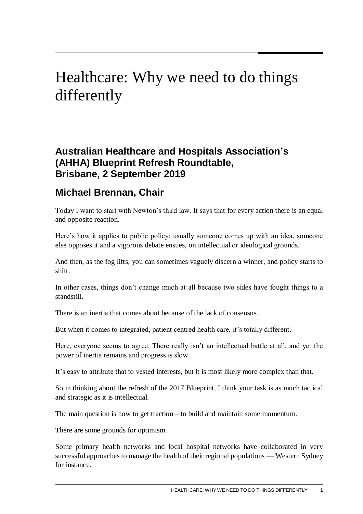## Healthcare: Why we need to do things differently

## **Australian Healthcare and Hospitals Association's (AHHA) Blueprint Refresh Roundtable, Brisbane, 2 September 2019**

## **Michael Brennan, Chair**

Today I want to start with Newton's third law. It says that for every action there is an equal and opposite reaction.

Here's how it applies to public policy: usually someone comes up with an idea, someone else opposes it and a vigorous debate ensues, on intellectual or ideological grounds.

And then, as the fog lifts, you can sometimes vaguely discern a winner, and policy starts to shift.

In other cases, things don't change much at all because two sides have fought things to a standstill.

There is an inertia that comes about because of the lack of consensus.

But when it comes to integrated, patient centred health care, it's totally different.

Here, everyone seems to agree. There really isn't an intellectual battle at all, and yet the power of inertia remains and progress is slow.

It's easy to attribute that to vested interests, but it is most likely more complex than that.

So in thinking about the refresh of the 2017 Blueprint, I think your task is as much tactical and strategic as it is intellectual.

The main question is how to get traction – to build and maintain some momentum.

There are some grounds for optimism.

Some primary health networks and local hospital networks have collaborated in very successful approaches to manage the health of their regional populations — Western Sydney for instance.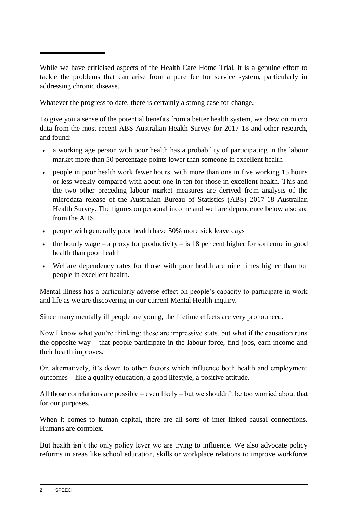While we have criticised aspects of the Health Care Home Trial, it is a genuine effort to tackle the problems that can arise from a pure fee for service system, particularly in addressing chronic disease.

Whatever the progress to date, there is certainly a strong case for change.

To give you a sense of the potential benefits from a better health system, we drew on micro data from the most recent ABS Australian Health Survey for 2017-18 and other research, and found:

- a working age person with poor health has a probability of participating in the labour market more than 50 percentage points lower than someone in excellent health
- people in poor health work fewer hours, with more than one in five working 15 hours or less weekly compared with about one in ten for those in excellent health. This and the two other preceding labour market measures are derived from analysis of the microdata release of the Australian Bureau of Statistics (ABS) 2017-18 Australian Health Survey. The figures on personal income and welfare dependence below also are from the AHS.
- people with generally poor health have 50% more sick leave days
- $\bullet$  the hourly wage a proxy for productivity is 18 per cent higher for someone in good health than poor health
- Welfare dependency rates for those with poor health are nine times higher than for people in excellent health.

Mental illness has a particularly adverse effect on people's capacity to participate in work and life as we are discovering in our current Mental Health inquiry.

Since many mentally ill people are young, the lifetime effects are very pronounced.

Now I know what you're thinking: these are impressive stats, but what if the causation runs the opposite way – that people participate in the labour force, find jobs, earn income and their health improves.

Or, alternatively, it's down to other factors which influence both health and employment outcomes – like a quality education, a good lifestyle, a positive attitude.

All those correlations are possible – even likely – but we shouldn't be too worried about that for our purposes.

When it comes to human capital, there are all sorts of inter-linked causal connections. Humans are complex.

But health isn't the only policy lever we are trying to influence. We also advocate policy reforms in areas like school education, skills or workplace relations to improve workforce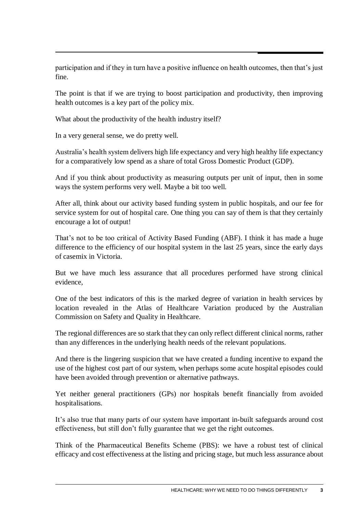participation and if they in turn have a positive influence on health outcomes, then that's just fine.

The point is that if we are trying to boost participation and productivity, then improving health outcomes is a key part of the policy mix.

What about the productivity of the health industry itself?

In a very general sense, we do pretty well.

Australia's health system delivers high life expectancy and very high healthy life expectancy for a comparatively low spend as a share of total Gross Domestic Product (GDP).

And if you think about productivity as measuring outputs per unit of input, then in some ways the system performs very well. Maybe a bit too well.

After all, think about our activity based funding system in public hospitals, and our fee for service system for out of hospital care. One thing you can say of them is that they certainly encourage a lot of output!

That's not to be too critical of Activity Based Funding (ABF). I think it has made a huge difference to the efficiency of our hospital system in the last 25 years, since the early days of casemix in Victoria.

But we have much less assurance that all procedures performed have strong clinical evidence,

One of the best indicators of this is the marked degree of variation in health services by location revealed in the Atlas of Healthcare Variation produced by the Australian Commission on Safety and Quality in Healthcare.

The regional differences are so stark that they can only reflect different clinical norms, rather than any differences in the underlying health needs of the relevant populations.

And there is the lingering suspicion that we have created a funding incentive to expand the use of the highest cost part of our system, when perhaps some acute hospital episodes could have been avoided through prevention or alternative pathways.

Yet neither general practitioners (GPs) nor hospitals benefit financially from avoided hospitalisations.

It's also true that many parts of our system have important in-built safeguards around cost effectiveness, but still don't fully guarantee that we get the right outcomes.

Think of the Pharmaceutical Benefits Scheme (PBS): we have a robust test of clinical efficacy and cost effectiveness at the listing and pricing stage, but much less assurance about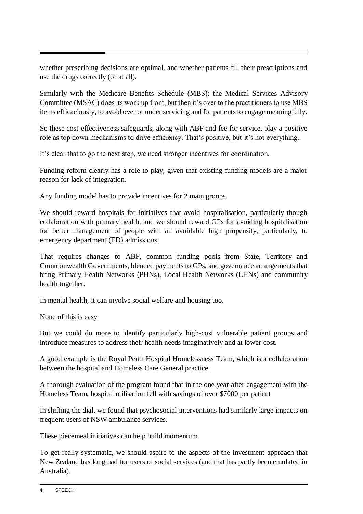whether prescribing decisions are optimal, and whether patients fill their prescriptions and use the drugs correctly (or at all).

Similarly with the Medicare Benefits Schedule (MBS): the Medical Services Advisory Committee (MSAC) does its work up front, but then it's over to the practitioners to use MBS items efficaciously, to avoid over or under servicing and for patients to engage meaningfully.

So these cost-effectiveness safeguards, along with ABF and fee for service, play a positive role as top down mechanisms to drive efficiency. That's positive, but it's not everything.

It's clear that to go the next step, we need stronger incentives for coordination.

Funding reform clearly has a role to play, given that existing funding models are a major reason for lack of integration.

Any funding model has to provide incentives for 2 main groups.

We should reward hospitals for initiatives that avoid hospitalisation, particularly though collaboration with primary health, and we should reward GPs for avoiding hospitalisation for better management of people with an avoidable high propensity, particularly, to emergency department (ED) admissions.

That requires changes to ABF, common funding pools from State, Territory and Commonwealth Governments, blended payments to GPs, and governance arrangements that bring Primary Health Networks (PHNs), Local Health Networks (LHNs) and community health together.

In mental health, it can involve social welfare and housing too.

None of this is easy

But we could do more to identify particularly high-cost vulnerable patient groups and introduce measures to address their health needs imaginatively and at lower cost.

A good example is the Royal Perth Hospital Homelessness Team, which is a collaboration between the hospital and Homeless Care General practice.

A thorough evaluation of the program found that in the one year after engagement with the Homeless Team, hospital utilisation fell with savings of over \$7000 per patient

In shifting the dial, we found that psychosocial interventions had similarly large impacts on frequent users of NSW ambulance services.

These piecemeal initiatives can help build momentum.

To get really systematic, we should aspire to the aspects of the investment approach that New Zealand has long had for users of social services (and that has partly been emulated in Australia).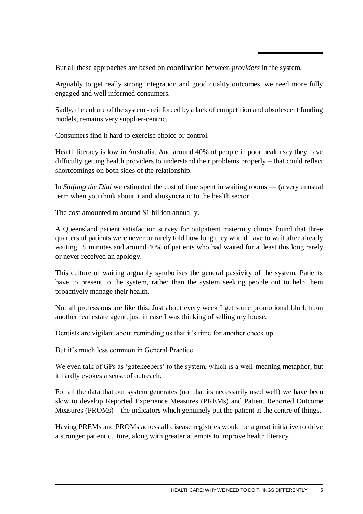But all these approaches are based on coordination between *providers* in the system.

Arguably to get really strong integration and good quality outcomes, we need more fully engaged and well informed consumers.

Sadly, the culture of the system - reinforced by a lack of competition and obsolescent funding models, remains very supplier-centric.

Consumers find it hard to exercise choice or control.

Health literacy is low in Australia. And around 40% of people in poor health say they have difficulty getting health providers to understand their problems properly – that could reflect shortcomings on both sides of the relationship.

In *Shifting the Dial* we estimated the cost of time spent in waiting rooms — (a very unusual term when you think about it and idiosyncratic to the health sector.

The cost amounted to around \$1 billion annually.

A Queensland patient satisfaction survey for outpatient maternity clinics found that three quarters of patients were never or rarely told how long they would have to wait after already waiting 15 minutes and around 40% of patients who had waited for at least this long rarely or never received an apology.

This culture of waiting arguably symbolises the general passivity of the system. Patients have to present to the system, rather than the system seeking people out to help them proactively manage their health.

Not all professions are like this. Just about every week I get some promotional blurb from another real estate agent, just in case I was thinking of selling my house.

Dentists are vigilant about reminding us that it's time for another check up.

But it's much less common in General Practice.

We even talk of GPs as 'gatekeepers' to the system, which is a well-meaning metaphor, but it hardly evokes a sense of outreach.

For all the data that our system generates (not that its necessarily used well) we have been slow to develop Reported Experience Measures (PREMs) and Patient Reported Outcome Measures (PROMs) – the indicators which genuinely put the patient at the centre of things.

Having PREMs and PROMs across all disease registries would be a great initiative to drive a stronger patient culture, along with greater attempts to improve health literacy.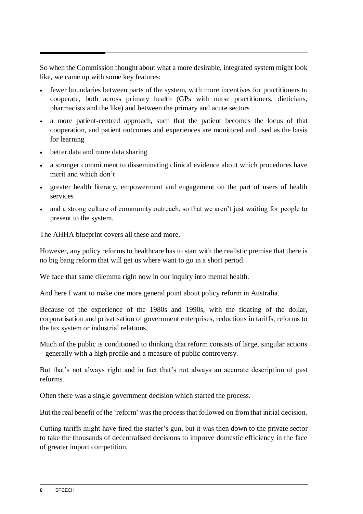So when the Commission thought about what a more desirable, integrated system might look like, we came up with some key features:

- fewer boundaries between parts of the system, with more incentives for practitioners to cooperate, both across primary health (GPs with nurse practitioners, dieticians, pharmacists and the like) and between the primary and acute sectors
- a more patient-centred approach, such that the patient becomes the locus of that cooperation, and patient outcomes and experiences are monitored and used as the basis for learning
- better data and more data sharing
- a stronger commitment to disseminating clinical evidence about which procedures have merit and which don't
- greater health literacy, empowerment and engagement on the part of users of health services
- and a strong culture of community outreach, so that we aren't just waiting for people to present to the system.

The AHHA blueprint covers all these and more.

However, any policy reforms to healthcare has to start with the realistic premise that there is no big bang reform that will get us where want to go in a short period.

We face that same dilemma right now in our inquiry into mental health.

And here I want to make one more general point about policy reform in Australia.

Because of the experience of the 1980s and 1990s, with the floating of the dollar, corporatisation and privatisation of government enterprises, reductions in tariffs, reforms to the tax system or industrial relations,

Much of the public is conditioned to thinking that reform consists of large, singular actions – generally with a high profile and a measure of public controversy.

But that's not always right and in fact that's not always an accurate description of past reforms.

Often there was a single government decision which started the process.

But the real benefit of the 'reform' was the process that followed on from that initial decision.

Cutting tariffs might have fired the starter's gun, but it was then down to the private sector to take the thousands of decentralised decisions to improve domestic efficiency in the face of greater import competition.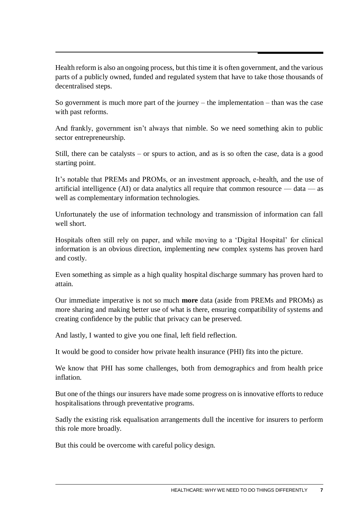Health reform is also an ongoing process, but this time it is often government, and the various parts of a publicly owned, funded and regulated system that have to take those thousands of decentralised steps.

So government is much more part of the journey – the implementation – than was the case with past reforms.

And frankly, government isn't always that nimble. So we need something akin to public sector entrepreneurship.

Still, there can be catalysts – or spurs to action, and as is so often the case, data is a good starting point.

It's notable that PREMs and PROMs, or an investment approach, e-health, and the use of artificial intelligence (AI) or data analytics all require that common resource  $-$  data  $-$  as well as complementary information technologies.

Unfortunately the use of information technology and transmission of information can fall well short.

Hospitals often still rely on paper, and while moving to a 'Digital Hospital' for clinical information is an obvious direction, implementing new complex systems has proven hard and costly.

Even something as simple as a high quality hospital discharge summary has proven hard to attain.

Our immediate imperative is not so much **more** data (aside from PREMs and PROMs) as more sharing and making better use of what is there, ensuring compatibility of systems and creating confidence by the public that privacy can be preserved.

And lastly, I wanted to give you one final, left field reflection.

It would be good to consider how private health insurance (PHI) fits into the picture.

We know that PHI has some challenges, both from demographics and from health price inflation.

But one of the things our insurers have made some progress on is innovative efforts to reduce hospitalisations through preventative programs.

Sadly the existing risk equalisation arrangements dull the incentive for insurers to perform this role more broadly.

But this could be overcome with careful policy design.